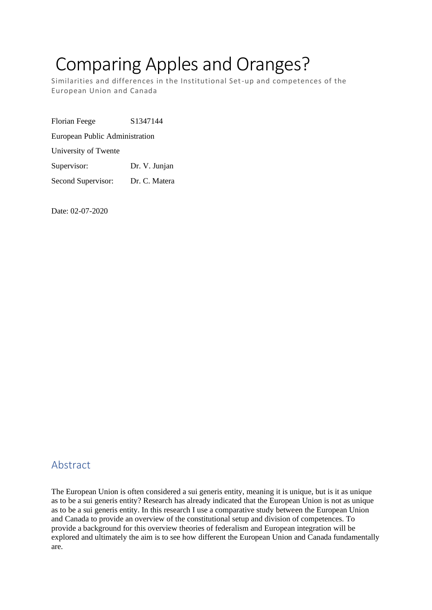# Comparing Apples and Oranges?

Similarities and differences in the Institutional Set-up and competences of the European Union and Canada

Florian Feege S1347144 European Public Administration University of Twente Supervisor: Dr. V. Junjan Second Supervisor: Dr. C. Matera

Date: 02-07-2020

# Abstract

The European Union is often considered a sui generis entity, meaning it is unique, but is it as unique as to be a sui generis entity? Research has already indicated that the European Union is not as unique as to be a sui generis entity. In this research I use a comparative study between the European Union and Canada to provide an overview of the constitutional setup and division of competences. To provide a background for this overview theories of federalism and European integration will be explored and ultimately the aim is to see how different the European Union and Canada fundamentally are.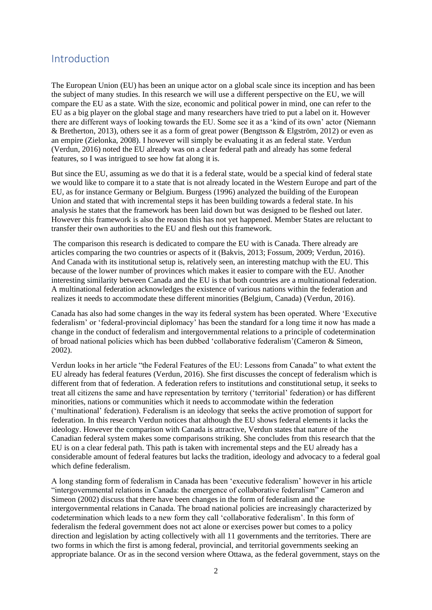#### Introduction

The European Union (EU) has been an unique actor on a global scale since its inception and has been the subject of many studies. In this research we will use a different perspective on the EU, we will compare the EU as a state. With the size, economic and political power in mind, one can refer to the EU as a big player on the global stage and many researchers have tried to put a label on it. However there are different ways of looking towards the EU. Some see it as a 'kind of its own' actor (Niemann & Bretherton, 2013), others see it as a form of great power (Bengtsson & Elgström, 2012) or even as an empire (Zielonka, 2008). I however will simply be evaluating it as an federal state. Verdun (Verdun, 2016) noted the EU already was on a clear federal path and already has some federal features, so I was intrigued to see how fat along it is.

But since the EU, assuming as we do that it is a federal state, would be a special kind of federal state we would like to compare it to a state that is not already located in the Western Europe and part of the EU, as for instance Germany or Belgium. Burgess (1996) analyzed the building of the European Union and stated that with incremental steps it has been building towards a federal state. In his analysis he states that the framework has been laid down but was designed to be fleshed out later. However this framework is also the reason this has not yet happened. Member States are reluctant to transfer their own authorities to the EU and flesh out this framework.

The comparison this research is dedicated to compare the EU with is Canada. There already are articles comparing the two countries or aspects of it (Bakvis, 2013; Fossum, 2009; Verdun, 2016). And Canada with its institutional setup is, relatively seen, an interesting matchup with the EU. This because of the lower number of provinces which makes it easier to compare with the EU. Another interesting similarity between Canada and the EU is that both countries are a multinational federation. A multinational federation acknowledges the existence of various nations within the federation and realizes it needs to accommodate these different minorities (Belgium, Canada) (Verdun, 2016).

Canada has also had some changes in the way its federal system has been operated. Where 'Executive federalism' or 'federal-provincial diplomacy' has been the standard for a long time it now has made a change in the conduct of federalism and intergovernmental relations to a principle of codetermination of broad national policies which has been dubbed 'collaborative federalism'(Cameron & Simeon, 2002).

Verdun looks in her article "the Federal Features of the EU: Lessons from Canada" to what extent the EU already has federal features (Verdun, 2016). She first discusses the concept of federalism which is different from that of federation. A federation refers to institutions and constitutional setup, it seeks to treat all citizens the same and have representation by territory ('territorial' federation) or has different minorities, nations or communities which it needs to accommodate within the federation ('multinational' federation). Federalism is an ideology that seeks the active promotion of support for federation. In this research Verdun notices that although the EU shows federal elements it lacks the ideology. However the comparison with Canada is attractive, Verdun states that nature of the Canadian federal system makes some comparisons striking. She concludes from this research that the EU is on a clear federal path. This path is taken with incremental steps and the EU already has a considerable amount of federal features but lacks the tradition, ideology and advocacy to a federal goal which define federalism.

A long standing form of federalism in Canada has been 'executive federalism' however in his article "intergovernmental relations in Canada: the emergence of collaborative federalism" Cameron and Simeon (2002) discuss that there have been changes in the form of federalism and the intergovernmental relations in Canada. The broad national policies are increasingly characterized by codetermination which leads to a new form they call 'collaborative federalism'. In this form of federalism the federal government does not act alone or exercises power but comes to a policy direction and legislation by acting collectively with all 11 governments and the territories. There are two forms in which the first is among federal, provincial, and territorial governments seeking an appropriate balance. Or as in the second version where Ottawa, as the federal government, stays on the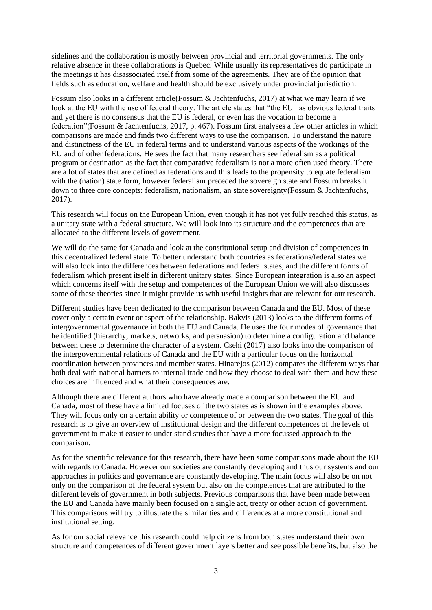sidelines and the collaboration is mostly between provincial and territorial governments. The only relative absence in these collaborations is Quebec. While usually its representatives do participate in the meetings it has disassociated itself from some of the agreements. They are of the opinion that fields such as education, welfare and health should be exclusively under provincial jurisdiction.

Fossum also looks in a different article(Fossum & Jachtenfuchs, 2017) at what we may learn if we look at the EU with the use of federal theory. The article states that "the EU has obvious federal traits and yet there is no consensus that the EU is federal, or even has the vocation to become a federation"(Fossum & Jachtenfuchs, 2017, p. 467). Fossum first analyses a few other articles in which comparisons are made and finds two different ways to use the comparison. To understand the nature and distinctness of the EU in federal terms and to understand various aspects of the workings of the EU and of other federations. He sees the fact that many researchers see federalism as a political program or destination as the fact that comparative federalism is not a more often used theory. There are a lot of states that are defined as federations and this leads to the propensity to equate federalism with the (nation) state form, however federalism preceded the sovereign state and Fossum breaks it down to three core concepts: federalism, nationalism, an state sovereignty(Fossum & Jachtenfuchs, 2017).

This research will focus on the European Union, even though it has not yet fully reached this status, as a unitary state with a federal structure. We will look into its structure and the competences that are allocated to the different levels of government.

We will do the same for Canada and look at the constitutional setup and division of competences in this decentralized federal state. To better understand both countries as federations/federal states we will also look into the differences between federations and federal states, and the different forms of federalism which present itself in different unitary states. Since European integration is also an aspect which concerns itself with the setup and competences of the European Union we will also discusses some of these theories since it might provide us with useful insights that are relevant for our research.

Different studies have been dedicated to the comparison between Canada and the EU. Most of these cover only a certain event or aspect of the relationship. Bakvis (2013) looks to the different forms of intergovernmental governance in both the EU and Canada. He uses the four modes of governance that he identified (hierarchy, markets, networks, and persuasion) to determine a configuration and balance between these to determine the character of a system. Csehi (2017) also looks into the comparison of the intergovernmental relations of Canada and the EU with a particular focus on the horizontal coordination between provinces and member states. Hinarejos (2012) compares the different ways that both deal with national barriers to internal trade and how they choose to deal with them and how these choices are influenced and what their consequences are.

Although there are different authors who have already made a comparison between the EU and Canada, most of these have a limited focuses of the two states as is shown in the examples above. They will focus only on a certain ability or competence of or between the two states. The goal of this research is to give an overview of institutional design and the different competences of the levels of government to make it easier to under stand studies that have a more focussed approach to the comparison.

As for the scientific relevance for this research, there have been some comparisons made about the EU with regards to Canada. However our societies are constantly developing and thus our systems and our approaches in politics and governance are constantly developing. The main focus will also be on not only on the comparison of the federal system but also on the competences that are attributed to the different levels of government in both subjects. Previous comparisons that have been made between the EU and Canada have mainly been focused on a single act, treaty or other action of government. This comparisons will try to illustrate the similarities and differences at a more constitutional and institutional setting.

As for our social relevance this research could help citizens from both states understand their own structure and competences of different government layers better and see possible benefits, but also the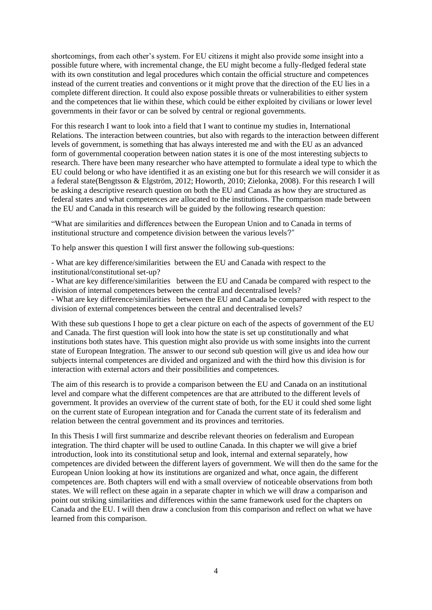shortcomings, from each other's system. For EU citizens it might also provide some insight into a possible future where, with incremental change, the EU might become a fully-fledged federal state with its own constitution and legal procedures which contain the official structure and competences instead of the current treaties and conventions or it might prove that the direction of the EU lies in a complete different direction. It could also expose possible threats or vulnerabilities to either system and the competences that lie within these, which could be either exploited by civilians or lower level governments in their favor or can be solved by central or regional governments.

For this research I want to look into a field that I want to continue my studies in, International Relations. The interaction between countries, but also with regards to the interaction between different levels of government, is something that has always interested me and with the EU as an advanced form of governmental cooperation between nation states it is one of the most interesting subjects to research. There have been many researcher who have attempted to formulate a ideal type to which the EU could belong or who have identified it as an existing one but for this research we will consider it as a federal state(Bengtsson & Elgström, 2012; Howorth, 2010; Zielonka, 2008). For this research I will be asking a descriptive research question on both the EU and Canada as how they are structured as federal states and what competences are allocated to the institutions. The comparison made between the EU and Canada in this research will be guided by the following research question:

"What are similarities and differences between the European Union and to Canada in terms of institutional structure and competence division between the various levels?"

To help answer this question I will first answer the following sub-questions:

- What are key difference/similarities between the EU and Canada with respect to the institutional/constitutional set-up?

- What are key difference/similarities between the EU and Canada be compared with respect to the division of internal competences between the central and decentralised levels?

- What are key difference/similarities between the EU and Canada be compared with respect to the division of external competences between the central and decentralised levels?

With these sub questions I hope to get a clear picture on each of the aspects of government of the EU and Canada. The first question will look into how the state is set up constitutionally and what institutions both states have. This question might also provide us with some insights into the current state of European Integration. The answer to our second sub question will give us and idea how our subjects internal competences are divided and organized and with the third how this division is for interaction with external actors and their possibilities and competences.

The aim of this research is to provide a comparison between the EU and Canada on an institutional level and compare what the different competences are that are attributed to the different levels of government. It provides an overview of the current state of both, for the EU it could shed some light on the current state of European integration and for Canada the current state of its federalism and relation between the central government and its provinces and territories.

In this Thesis I will first summarize and describe relevant theories on federalism and European integration. The third chapter will be used to outline Canada. In this chapter we will give a brief introduction, look into its constitutional setup and look, internal and external separately, how competences are divided between the different layers of government. We will then do the same for the European Union looking at how its institutions are organized and what, once again, the different competences are. Both chapters will end with a small overview of noticeable observations from both states. We will reflect on these again in a separate chapter in which we will draw a comparison and point out striking similarities and differences within the same framework used for the chapters on Canada and the EU. I will then draw a conclusion from this comparison and reflect on what we have learned from this comparison.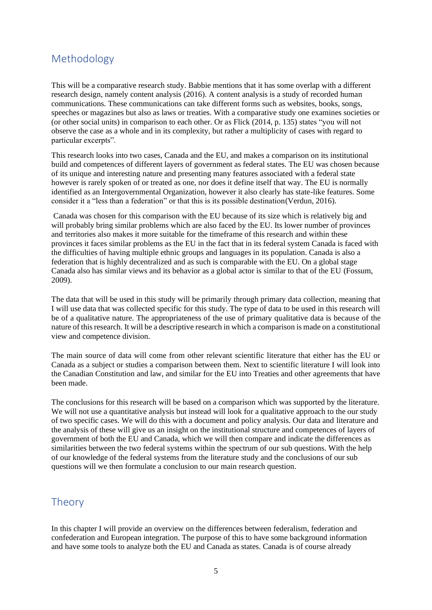# Methodology

This will be a comparative research study. Babbie mentions that it has some overlap with a different research design, namely content analysis (2016). A content analysis is a study of recorded human communications. These communications can take different forms such as websites, books, songs, speeches or magazines but also as laws or treaties. With a comparative study one examines societies or (or other social units) in comparison to each other. Or as Flick (2014, p. 135) states "you will not observe the case as a whole and in its complexity, but rather a multiplicity of cases with regard to particular excerpts".

This research looks into two cases, Canada and the EU, and makes a comparison on its institutional build and competences of different layers of government as federal states. The EU was chosen because of its unique and interesting nature and presenting many features associated with a federal state however is rarely spoken of or treated as one, nor does it define itself that way. The EU is normally identified as an Intergovernmental Organization, however it also clearly has state-like features. Some consider it a "less than a federation" or that this is its possible destination(Verdun, 2016).

Canada was chosen for this comparison with the EU because of its size which is relatively big and will probably bring similar problems which are also faced by the EU. Its lower number of provinces and territories also makes it more suitable for the timeframe of this research and within these provinces it faces similar problems as the EU in the fact that in its federal system Canada is faced with the difficulties of having multiple ethnic groups and languages in its population. Canada is also a federation that is highly decentralized and as such is comparable with the EU. On a global stage Canada also has similar views and its behavior as a global actor is similar to that of the EU (Fossum, 2009).

The data that will be used in this study will be primarily through primary data collection, meaning that I will use data that was collected specific for this study. The type of data to be used in this research will be of a qualitative nature. The appropriateness of the use of primary qualitative data is because of the nature of this research. It will be a descriptive research in which a comparison is made on a constitutional view and competence division.

The main source of data will come from other relevant scientific literature that either has the EU or Canada as a subject or studies a comparison between them. Next to scientific literature I will look into the Canadian Constitution and law, and similar for the EU into Treaties and other agreements that have been made.

The conclusions for this research will be based on a comparison which was supported by the literature. We will not use a quantitative analysis but instead will look for a qualitative approach to the our study of two specific cases. We will do this with a document and policy analysis. Our data and literature and the analysis of these will give us an insight on the institutional structure and competences of layers of government of both the EU and Canada, which we will then compare and indicate the differences as similarities between the two federal systems within the spectrum of our sub questions. With the help of our knowledge of the federal systems from the literature study and the conclusions of our sub questions will we then formulate a conclusion to our main research question.

# Theory

In this chapter I will provide an overview on the differences between federalism, federation and confederation and European integration. The purpose of this to have some background information and have some tools to analyze both the EU and Canada as states. Canada is of course already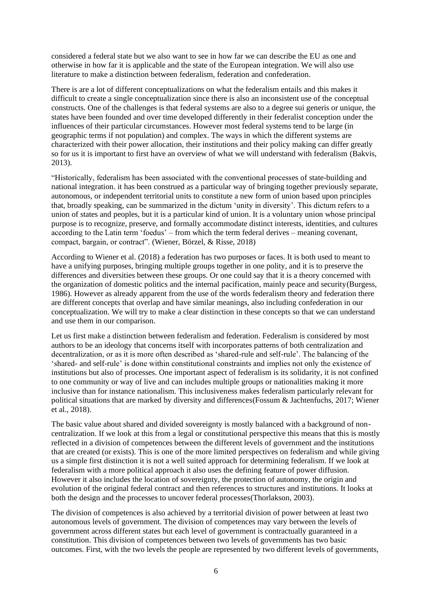considered a federal state but we also want to see in how far we can describe the EU as one and otherwise in how far it is applicable and the state of the European integration. We will also use literature to make a distinction between federalism, federation and confederation.

There is are a lot of different conceptualizations on what the federalism entails and this makes it difficult to create a single conceptualization since there is also an inconsistent use of the conceptual constructs. One of the challenges is that federal systems are also to a degree sui generis or unique, the states have been founded and over time developed differently in their federalist conception under the influences of their particular circumstances. However most federal systems tend to be large (in geographic terms if not population) and complex. The ways in which the different systems are characterized with their power allocation, their institutions and their policy making can differ greatly so for us it is important to first have an overview of what we will understand with federalism (Bakvis, 2013).

"Historically, federalism has been associated with the conventional processes of state-building and national integration. it has been construed as a particular way of bringing together previously separate, autonomous, or independent territorial units to constitute a new form of union based upon principles that, broadly speaking, can be summarized in the dictum 'unity in diversity'. This dictum refers to a union of states and peoples, but it is a particular kind of union. It is a voluntary union whose principal purpose is to recognize, preserve, and formally accommodate distinct interests, identities, and cultures according to the Latin term 'foedus' – from which the term federal derives – meaning covenant, compact, bargain, or contract". (Wiener, Börzel, & Risse, 2018)

According to Wiener et al. (2018) a federation has two purposes or faces. It is both used to meant to have a unifying purposes, bringing multiple groups together in one polity, and it is to preserve the differences and diversities between these groups. Or one could say that it is a theory concerned with the organization of domestic politics and the internal pacification, mainly peace and security(Burgess, 1986). However as already apparent from the use of the words federalism theory and federation there are different concepts that overlap and have similar meanings, also including confederation in our conceptualization. We will try to make a clear distinction in these concepts so that we can understand and use them in our comparison.

Let us first make a distinction between federalism and federation. Federalism is considered by most authors to be an ideology that concerns itself with incorporates patterns of both centralization and decentralization, or as it is more often described as 'shared-rule and self-rule'. The balancing of the 'shared- and self-rule' is done within constitutional constraints and implies not only the existence of institutions but also of processes. One important aspect of federalism is its solidarity, it is not confined to one community or way of live and can includes multiple groups or nationalities making it more inclusive than for instance nationalism. This inclusiveness makes federalism particularly relevant for political situations that are marked by diversity and differences(Fossum & Jachtenfuchs, 2017; Wiener et al., 2018).

The basic value about shared and divided sovereignty is mostly balanced with a background of noncentralization. If we look at this from a legal or constitutional perspective this means that this is mostly reflected in a division of competences between the different levels of government and the institutions that are created (or exists). This is one of the more limited perspectives on federalism and while giving us a simple first distinction it is not a well suited approach for determining federalism. If we look at federalism with a more political approach it also uses the defining feature of power diffusion. However it also includes the location of sovereignty, the protection of autonomy, the origin and evolution of the original federal contract and then references to structures and institutions. It looks at both the design and the processes to uncover federal processes(Thorlakson, 2003).

The division of competences is also achieved by a territorial division of power between at least two autonomous levels of government. The division of competences may vary between the levels of government across different states but each level of government is contractually guaranteed in a constitution. This division of competences between two levels of governments has two basic outcomes. First, with the two levels the people are represented by two different levels of governments,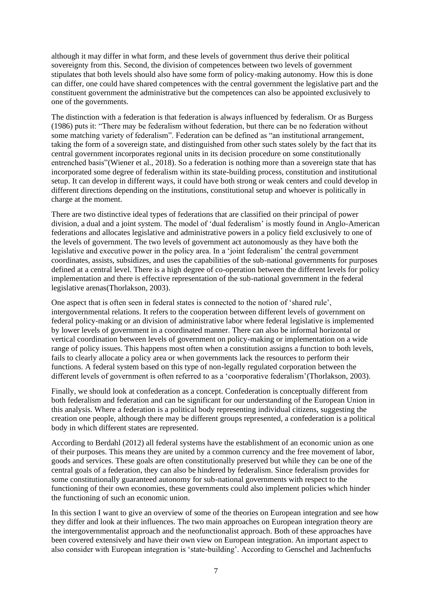although it may differ in what form, and these levels of government thus derive their political sovereignty from this. Second, the division of competences between two levels of government stipulates that both levels should also have some form of policy-making autonomy. How this is done can differ, one could have shared competences with the central government the legislative part and the constituent government the administrative but the competences can also be appointed exclusively to one of the governments.

The distinction with a federation is that federation is always influenced by federalism. Or as Burgess (1986) puts it: "There may be federalism without federation, but there can be no federation without some matching variety of federalism". Federation can be defined as "an institutional arrangement, taking the form of a sovereign state, and distinguished from other such states solely by the fact that its central government incorporates regional units in its decision procedure on some constitutionally entrenched basis"(Wiener et al., 2018). So a federation is nothing more than a sovereign state that has incorporated some degree of federalism within its state-building process, constitution and institutional setup. It can develop in different ways, it could have both strong or weak centers and could develop in different directions depending on the institutions, constitutional setup and whoever is politically in charge at the moment.

There are two distinctive ideal types of federations that are classified on their principal of power division, a dual and a joint system. The model of 'dual federalism' is mostly found in Anglo-American federations and allocates legislative and administrative powers in a policy field exclusively to one of the levels of government. The two levels of government act autonomously as they have both the legislative and executive power in the policy area. In a 'joint federalism' the central government coordinates, assists, subsidizes, and uses the capabilities of the sub-national governments for purposes defined at a central level. There is a high degree of co-operation between the different levels for policy implementation and there is effective representation of the sub-national government in the federal legislative arenas(Thorlakson, 2003).

One aspect that is often seen in federal states is connected to the notion of 'shared rule', intergovernmental relations. It refers to the cooperation between different levels of government on federal policy-making or an division of administrative labor where federal legislative is implemented by lower levels of government in a coordinated manner. There can also be informal horizontal or vertical coordination between levels of government on policy-making or implementation on a wide range of policy issues. This happens most often when a constitution assigns a function to both levels, fails to clearly allocate a policy area or when governments lack the resources to perform their functions. A federal system based on this type of non-legally regulated corporation between the different levels of government is often referred to as a 'coorporative federalism'(Thorlakson, 2003).

Finally, we should look at confederation as a concept. Confederation is conceptually different from both federalism and federation and can be significant for our understanding of the European Union in this analysis. Where a federation is a political body representing individual citizens, suggesting the creation one people, although there may be different groups represented, a confederation is a political body in which different states are represented.

According to Berdahl (2012) all federal systems have the establishment of an economic union as one of their purposes. This means they are united by a common currency and the free movement of labor, goods and services. These goals are often constitutionally preserved but while they can be one of the central goals of a federation, they can also be hindered by federalism. Since federalism provides for some constitutionally guaranteed autonomy for sub-national governments with respect to the functioning of their own economies, these governments could also implement policies which hinder the functioning of such an economic union.

In this section I want to give an overview of some of the theories on European integration and see how they differ and look at their influences. The two main approaches on European integration theory are the intergovernmentalist approach and the neofunctionalist approach. Both of these approaches have been covered extensively and have their own view on European integration. An important aspect to also consider with European integration is 'state-building'. According to Genschel and Jachtenfuchs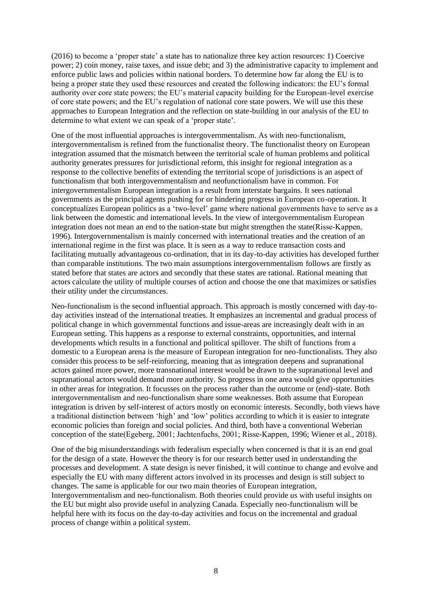(2016) to become a 'proper state' a state has to nationalize three key action resources: 1) Coercive power; 2) coin money, raise taxes, and issue debt; and 3) the administrative capacity to implement and enforce public laws and policies within national borders. To determine how far along the EU is to being a proper state they used these resources and created the following indicators: the EU's formal authority over core state powers; the EU's material capacity building for the European-level exercise of core state powers; and the EU's regulation of national core state powers. We will use this these approaches to European Integration and the reflection on state-building in our analysis of the EU to determine to what extent we can speak of a 'proper state'.

One of the most influential approaches is intergovernmentalism. As with neo-functionalism, intergovernmentalism is refined from the functionalist theory. The functionalist theory on European integration assumed that the mismatch between the territorial scale of human problems and political authority generates pressures for jurisdictional reform, this insight for regional integration as a response to the collective benefits of extending the territorial scope of jurisdictions is an aspect of functionalism that both intergovernmentalism and neofunctionalism have in common. For intergovernmentalism European integration is a result from interstate bargains. It sees national governments as the principal agents pushing for or hindering progress in European co-operation. It conceptualizes European politics as a 'two-level' game where national governments have to serve as a link between the domestic and international levels. In the view of intergovernmentalism European integration does not mean an end to the nation-state but might strengthen the state(Risse-Kappen, 1996). Intergovernmentalism is mainly concerned with international treaties and the creation of an international regime in the first was place. It is seen as a way to reduce transaction costs and facilitating mutually advantageous co-ordination, that in its day-to-day activities has developed further than comparable institutions. The two main assumptions intergovernmentalism follows are firstly as stated before that states are actors and secondly that these states are rational. Rational meaning that actors calculate the utility of multiple courses of action and choose the one that maximizes or satisfies their utility under the circumstances.

Neo-functionalism is the second influential approach. This approach is mostly concerned with day-today activities instead of the international treaties. It emphasizes an incremental and gradual process of political change in which governmental functions and issue-areas are increasingly dealt with in an European setting. This happens as a response to external constraints, opportunities, and internal developments which results in a functional and political spillover. The shift of functions from a domestic to a European arena is the measure of European integration for neo-functionalists. They also consider this process to be self-reinforcing, meaning that as integration deepens and supranational actors gained more power, more transnational interest would be drawn to the supranational level and supranational actors would demand more authority. So progress in one area would give opportunities in other areas for integration. It focusses on the process rather than the outcome or (end)-state. Both intergovernmentalism and neo-functionalism share some weaknesses. Both assume that European integration is driven by self-interest of actors mostly on economic interests. Secondly, both views have a traditional distinction between 'high' and 'low' politics according to which it is easier to integrate economic policies than foreign and social policies. And third, both have a conventional Weberian conception of the state(Egeberg, 2001; Jachtenfuchs, 2001; Risse‐Kappen, 1996; Wiener et al., 2018).

One of the big misunderstandings with federalism especially when concerned is that it is an end goal for the design of a state. However the theory is for our research better used in understanding the processes and development. A state design is never finished, it will continue to change and evolve and especially the EU with many different actors involved in its processes and design is still subject to changes. The same is applicable for our two main theories of European integration, Intergovernmentalism and neo-functionalism. Both theories could provide us with useful insights on the EU but might also provide useful in analyzing Canada. Especially neo-functionalism will be helpful here with its focus on the day-to-day activities and focus on the incremental and gradual process of change within a political system.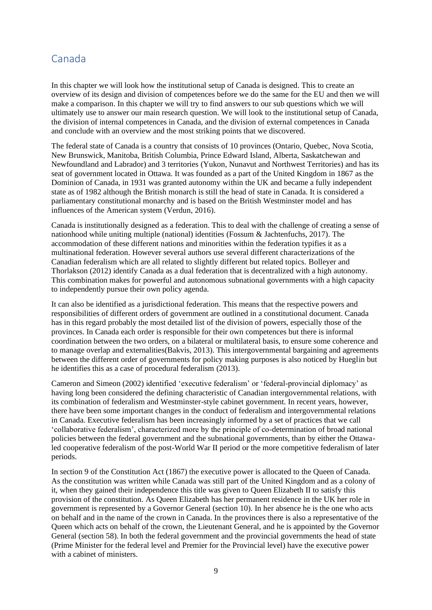### Canada

In this chapter we will look how the institutional setup of Canada is designed. This to create an overview of its design and division of competences before we do the same for the EU and then we will make a comparison. In this chapter we will try to find answers to our sub questions which we will ultimately use to answer our main research question. We will look to the institutional setup of Canada, the division of internal competences in Canada, and the division of external competences in Canada and conclude with an overview and the most striking points that we discovered.

The federal state of Canada is a country that consists of 10 provinces (Ontario, Quebec, Nova Scotia, New Brunswick, Manitoba, British Columbia, Prince Edward Island, Alberta, Saskatchewan and Newfoundland and Labrador) and 3 territories (Yukon, Nunavut and Northwest Territories) and has its seat of government located in Ottawa. It was founded as a part of the United Kingdom in 1867 as the Dominion of Canada, in 1931 was granted autonomy within the UK and became a fully independent state as of 1982 although the British monarch is still the head of state in Canada. It is considered a parliamentary constitutional monarchy and is based on the British Westminster model and has influences of the American system (Verdun, 2016).

Canada is institutionally designed as a federation. This to deal with the challenge of creating a sense of nationhood while uniting multiple (national) identities (Fossum & Jachtenfuchs, 2017). The accommodation of these different nations and minorities within the federation typifies it as a multinational federation. However several authors use several different characterizations of the Canadian federalism which are all related to slightly different but related topics. Bolleyer and Thorlakson (2012) identify Canada as a dual federation that is decentralized with a high autonomy. This combination makes for powerful and autonomous subnational governments with a high capacity to independently pursue their own policy agenda.

It can also be identified as a jurisdictional federation. This means that the respective powers and responsibilities of different orders of government are outlined in a constitutional document. Canada has in this regard probably the most detailed list of the division of powers, especially those of the provinces. In Canada each order is responsible for their own competences but there is informal coordination between the two orders, on a bilateral or multilateral basis, to ensure some coherence and to manage overlap and externalities(Bakvis, 2013). This intergovernmental bargaining and agreements between the different order of governments for policy making purposes is also noticed by Hueglin but he identifies this as a case of procedural federalism (2013).

Cameron and Simeon (2002) identified 'executive federalism' or 'federal-provincial diplomacy' as having long been considered the defining characteristic of Canadian intergovernmental relations, with its combination of federalism and Westminster-style cabinet government. In recent years, however, there have been some important changes in the conduct of federalism and intergovernmental relations in Canada. Executive federalism has been increasingly informed by a set of practices that we call 'collaborative federalism', characterized more by the principle of co-determination of broad national policies between the federal government and the subnational governments, than by either the Ottawaled cooperative federalism of the post-World War II period or the more competitive federalism of later periods.

In section 9 of the Constitution Act (1867) the executive power is allocated to the Queen of Canada. As the constitution was written while Canada was still part of the United Kingdom and as a colony of it, when they gained their independence this title was given to Queen Elizabeth II to satisfy this provision of the constitution. As Queen Elizabeth has her permanent residence in the UK her role in government is represented by a Governor General (section 10). In her absence he is the one who acts on behalf and in the name of the crown in Canada. In the provinces there is also a representative of the Queen which acts on behalf of the crown, the Lieutenant General, and he is appointed by the Governor General (section 58). In both the federal government and the provincial governments the head of state (Prime Minister for the federal level and Premier for the Provincial level) have the executive power with a cabinet of ministers.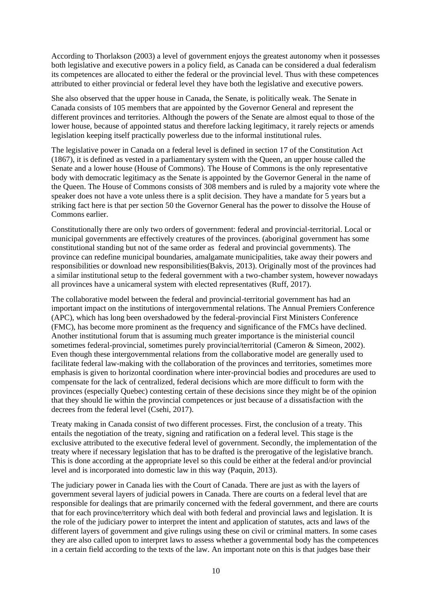According to Thorlakson (2003) a level of government enjoys the greatest autonomy when it possesses both legislative and executive powers in a policy field, as Canada can be considered a dual federalism its competences are allocated to either the federal or the provincial level. Thus with these competences attributed to either provincial or federal level they have both the legislative and executive powers.

She also observed that the upper house in Canada, the Senate, is politically weak. The Senate in Canada consists of 105 members that are appointed by the Governor General and represent the different provinces and territories. Although the powers of the Senate are almost equal to those of the lower house, because of appointed status and therefore lacking legitimacy, it rarely rejects or amends legislation keeping itself practically powerless due to the informal institutional rules.

The legislative power in Canada on a federal level is defined in section 17 of the Constitution Act (1867), it is defined as vested in a parliamentary system with the Queen, an upper house called the Senate and a lower house (House of Commons). The House of Commons is the only representative body with democratic legitimacy as the Senate is appointed by the Governor General in the name of the Queen. The House of Commons consists of 308 members and is ruled by a majority vote where the speaker does not have a vote unless there is a split decision. They have a mandate for 5 years but a striking fact here is that per section 50 the Governor General has the power to dissolve the House of Commons earlier.

Constitutionally there are only two orders of government: federal and provincial-territorial. Local or municipal governments are effectively creatures of the provinces. (aboriginal government has some constitutional standing but not of the same order as federal and provincial governments). The province can redefine municipal boundaries, amalgamate municipalities, take away their powers and responsibilities or download new responsibilities(Bakvis, 2013). Originally most of the provinces had a similar institutional setup to the federal government with a two-chamber system, however nowadays all provinces have a unicameral system with elected representatives (Ruff, 2017).

The collaborative model between the federal and provincial-territorial government has had an important impact on the institutions of intergovernmental relations. The Annual Premiers Conference (APC), which has long been overshadowed by the federal-provincial First Ministers Conference (FMC), has become more prominent as the frequency and significance of the FMCs have declined. Another institutional forum that is assuming much greater importance is the ministerial council sometimes federal-provincial, sometimes purely provincial/territorial (Cameron & Simeon, 2002). Even though these intergovernmental relations from the collaborative model are generally used to facilitate federal law-making with the collaboration of the provinces and territories, sometimes more emphasis is given to horizontal coordination where inter-provincial bodies and procedures are used to compensate for the lack of centralized, federal decisions which are more difficult to form with the provinces (especially Quebec) contesting certain of these decisions since they might be of the opinion that they should lie within the provincial competences or just because of a dissatisfaction with the decrees from the federal level (Csehi, 2017).

Treaty making in Canada consist of two different processes. First, the conclusion of a treaty. This entails the negotiation of the treaty, signing and ratification on a federal level. This stage is the exclusive attributed to the executive federal level of government. Secondly, the implementation of the treaty where if necessary legislation that has to be drafted is the prerogative of the legislative branch. This is done according at the appropriate level so this could be either at the federal and/or provincial level and is incorporated into domestic law in this way (Paquin, 2013).

The judiciary power in Canada lies with the Court of Canada. There are just as with the layers of government several layers of judicial powers in Canada. There are courts on a federal level that are responsible for dealings that are primarily concerned with the federal government, and there are courts that for each province/territory which deal with both federal and provincial laws and legislation. It is the role of the judiciary power to interpret the intent and application of statutes, acts and laws of the different layers of government and give rulings using these on civil or criminal matters. In some cases they are also called upon to interpret laws to assess whether a governmental body has the competences in a certain field according to the texts of the law. An important note on this is that judges base their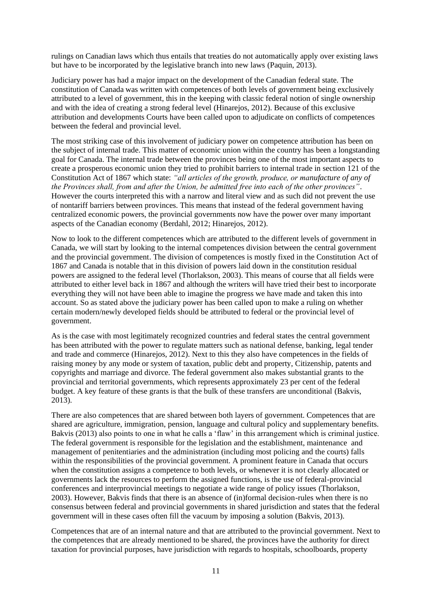rulings on Canadian laws which thus entails that treaties do not automatically apply over existing laws but have to be incorporated by the legislative branch into new laws (Paquin, 2013).

Judiciary power has had a major impact on the development of the Canadian federal state. The constitution of Canada was written with competences of both levels of government being exclusively attributed to a level of government, this in the keeping with classic federal notion of single ownership and with the idea of creating a strong federal level (Hinarejos, 2012). Because of this exclusive attribution and developments Courts have been called upon to adjudicate on conflicts of competences between the federal and provincial level.

The most striking case of this involvement of judiciary power on competence attribution has been on the subject of internal trade. This matter of economic union within the country has been a longstanding goal for Canada. The internal trade between the provinces being one of the most important aspects to create a prosperous economic union they tried to prohibit barriers to internal trade in section 121 of the Constitution Act of 1867 which state: *"all articles of the growth, produce, or manufacture of any of the Provinces shall, from and after the Union, be admitted free into each of the other provinces"*. However the courts interpreted this with a narrow and literal view and as such did not prevent the use of nontariff barriers between provinces. This means that instead of the federal government having centralized economic powers, the provincial governments now have the power over many important aspects of the Canadian economy (Berdahl, 2012; Hinarejos, 2012).

Now to look to the different competences which are attributed to the different levels of government in Canada, we will start by looking to the internal competences division between the central government and the provincial government. The division of competences is mostly fixed in the Constitution Act of 1867 and Canada is notable that in this division of powers laid down in the constitution residual powers are assigned to the federal level (Thorlakson, 2003). This means of course that all fields were attributed to either level back in 1867 and although the writers will have tried their best to incorporate everything they will not have been able to imagine the progress we have made and taken this into account. So as stated above the judiciary power has been called upon to make a ruling on whether certain modern/newly developed fields should be attributed to federal or the provincial level of government.

As is the case with most legitimately recognized countries and federal states the central government has been attributed with the power to regulate matters such as national defense, banking, legal tender and trade and commerce (Hinarejos, 2012). Next to this they also have competences in the fields of raising money by any mode or system of taxation, public debt and property, Citizenship, patents and copyrights and marriage and divorce. The federal government also makes substantial grants to the provincial and territorial governments, which represents approximately 23 per cent of the federal budget. A key feature of these grants is that the bulk of these transfers are unconditional (Bakvis, 2013).

There are also competences that are shared between both layers of government. Competences that are shared are agriculture, immigration, pension, language and cultural policy and supplementary benefits. Bakvis (2013) also points to one in what he calls a 'flaw' in this arrangement which is criminal justice. The federal government is responsible for the legislation and the establishment, maintenance and management of penitentiaries and the administration (including most policing and the courts) falls within the responsibilities of the provincial government. A prominent feature in Canada that occurs when the constitution assigns a competence to both levels, or whenever it is not clearly allocated or governments lack the resources to perform the assigned functions, is the use of federal-provincial conferences and interprovincial meetings to negotiate a wide range of policy issues (Thorlakson, 2003). However, Bakvis finds that there is an absence of (in)formal decision-rules when there is no consensus between federal and provincial governments in shared jurisdiction and states that the federal government will in these cases often fill the vacuum by imposing a solution (Bakvis, 2013).

Competences that are of an internal nature and that are attributed to the provincial government. Next to the competences that are already mentioned to be shared, the provinces have the authority for direct taxation for provincial purposes, have jurisdiction with regards to hospitals, schoolboards, property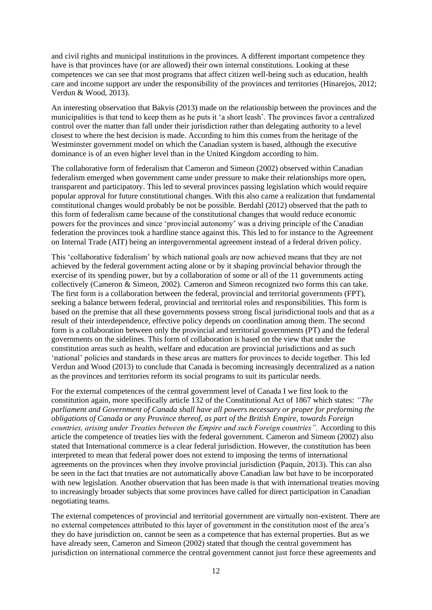and civil rights and municipal institutions in the provinces. A different important competence they have is that provinces have (or are allowed) their own internal constitutions. Looking at these competences we can see that most programs that affect citizen well-being such as education, health care and income support are under the responsibility of the provinces and territories (Hinarejos, 2012; Verdun & Wood, 2013).

An interesting observation that Bakvis (2013) made on the relationship between the provinces and the municipalities is that tend to keep them as he puts it 'a short leash'. The provinces favor a centralized control over the matter than fall under their jurisdiction rather than delegating authority to a level closest to where the best decision is made. According to him this comes from the heritage of the Westminster government model on which the Canadian system is based, although the executive dominance is of an even higher level than in the United Kingdom according to him.

The collaborative form of federalism that Cameron and Simeon (2002) observed within Canadian federalism emerged when government came under pressure to make their relationships more open, transparent and participatory. This led to several provinces passing legislation which would require popular approval for future constitutional changes. With this also came a realization that fundamental constitutional changes would probably be not be possible. Berdahl (2012) observed that the path to this form of federalism came because of the constitutional changes that would reduce economic powers for the provinces and since 'provincial autonomy' was a driving principle of the Canadian federation the provinces took a hardline stance against this. This led to for instance to the Agreement on Internal Trade (AIT) being an intergovernmental agreement instead of a federal driven policy.

This 'collaborative federalism' by which national goals are now achieved means that they are not achieved by the federal government acting alone or by it shaping provincial behavior through the exercise of its spending power, but by a collaboration of some or all of the 11 governments acting collectively (Cameron & Simeon, 2002). Cameron and Simeon recognized two forms this can take. The first form is a collaboration between the federal, provincial and territorial governments (FPT), seeking a balance between federal, provincial and territorial roles and responsibilities. This form is based on the premise that all these governments possess strong fiscal jurisdictional tools and that as a result of their interdependence, effective policy depends on coordination among them. The second form is a collaboration between only the provincial and territorial governments (PT) and the federal governments on the sidelines. This form of collaboration is based on the view that under the constitution areas such as health, welfare and education are provincial jurisdictions and as such 'national' policies and standards in these areas are matters for provinces to decide together. This led Verdun and Wood (2013) to conclude that Canada is becoming increasingly decentralized as a nation as the provinces and territories reform its social programs to suit its particular needs.

For the external competences of the central government level of Canada I we first look to the constitution again, more specifically article 132 of the Constitutional Act of 1867 which states: *"The parliament and Government of Canada shall have all powers necessary or proper for preforming the obligations of Canada or any Province thereof, as part of the British Empire, towards Foreign countries, arising under Treaties between the Empire and such Foreign countries".* According to this article the competence of treaties lies with the federal government. Cameron and Simeon (2002) also stated that International commerce is a clear federal jurisdiction. However, the constitution has been interpreted to mean that federal power does not extend to imposing the terms of international agreements on the provinces when they involve provincial jurisdiction (Paquin, 2013). This can also be seen in the fact that treaties are not automatically above Canadian law but have to be incorporated with new legislation. Another observation that has been made is that with international treaties moving to increasingly broader subjects that some provinces have called for direct participation in Canadian negotiating teams.

The external competences of provincial and territorial government are virtually non-existent. There are no external competences attributed to this layer of government in the constitution most of the area's they do have jurisdiction on, cannot be seen as a competence that has external properties. But as we have already seen, Cameron and Simeon (2002) stated that though the central government has jurisdiction on international commerce the central government cannot just force these agreements and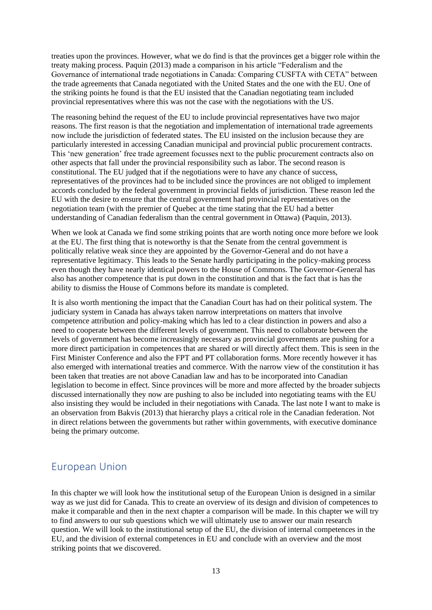treaties upon the provinces. However, what we do find is that the provinces get a bigger role within the treaty making process. Paquin (2013) made a comparison in his article "Federalism and the Governance of international trade negotiations in Canada: Comparing CUSFTA with CETA" between the trade agreements that Canada negotiated with the United States and the one with the EU. One of the striking points he found is that the EU insisted that the Canadian negotiating team included provincial representatives where this was not the case with the negotiations with the US.

The reasoning behind the request of the EU to include provincial representatives have two major reasons. The first reason is that the negotiation and implementation of international trade agreements now include the jurisdiction of federated states. The EU insisted on the inclusion because they are particularly interested in accessing Canadian municipal and provincial public procurement contracts. This 'new generation' free trade agreement focusses next to the public procurement contracts also on other aspects that fall under the provincial responsibility such as labor. The second reason is constitutional. The EU judged that if the negotiations were to have any chance of success, representatives of the provinces had to be included since the provinces are not obliged to implement accords concluded by the federal government in provincial fields of jurisdiction. These reason led the EU with the desire to ensure that the central government had provincial representatives on the negotiation team (with the premier of Quebec at the time stating that the EU had a better understanding of Canadian federalism than the central government in Ottawa) (Paquin, 2013).

When we look at Canada we find some striking points that are worth noting once more before we look at the EU. The first thing that is noteworthy is that the Senate from the central government is politically relative weak since they are appointed by the Governor-General and do not have a representative legitimacy. This leads to the Senate hardly participating in the policy-making process even though they have nearly identical powers to the House of Commons. The Governor-General has also has another competence that is put down in the constitution and that is the fact that is has the ability to dismiss the House of Commons before its mandate is completed.

It is also worth mentioning the impact that the Canadian Court has had on their political system. The judiciary system in Canada has always taken narrow interpretations on matters that involve competence attribution and policy-making which has led to a clear distinction in powers and also a need to cooperate between the different levels of government. This need to collaborate between the levels of government has become increasingly necessary as provincial governments are pushing for a more direct participation in competences that are shared or will directly affect them. This is seen in the First Minister Conference and also the FPT and PT collaboration forms. More recently however it has also emerged with international treaties and commerce. With the narrow view of the constitution it has been taken that treaties are not above Canadian law and has to be incorporated into Canadian legislation to become in effect. Since provinces will be more and more affected by the broader subjects discussed internationally they now are pushing to also be included into negotiating teams with the EU also insisting they would be included in their negotiations with Canada. The last note I want to make is an observation from Bakvis (2013) that hierarchy plays a critical role in the Canadian federation. Not in direct relations between the governments but rather within governments, with executive dominance being the primary outcome.

# European Union

In this chapter we will look how the institutional setup of the European Union is designed in a similar way as we just did for Canada. This to create an overview of its design and division of competences to make it comparable and then in the next chapter a comparison will be made. In this chapter we will try to find answers to our sub questions which we will ultimately use to answer our main research question. We will look to the institutional setup of the EU, the division of internal competences in the EU, and the division of external competences in EU and conclude with an overview and the most striking points that we discovered.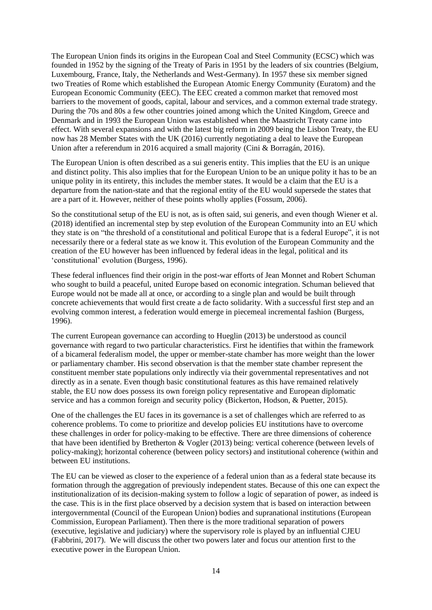The European Union finds its origins in the European Coal and Steel Community (ECSC) which was founded in 1952 by the signing of the Treaty of Paris in 1951 by the leaders of six countries (Belgium, Luxembourg, France, Italy, the Netherlands and West-Germany). In 1957 these six member signed two Treaties of Rome which established the European Atomic Energy Community (Euratom) and the European Economic Community (EEC). The EEC created a common market that removed most barriers to the movement of goods, capital, labour and services, and a common external trade strategy. During the 70s and 80s a few other countries joined among which the United Kingdom, Greece and Denmark and in 1993 the European Union was established when the Maastricht Treaty came into effect. With several expansions and with the latest big reform in 2009 being the Lisbon Treaty, the EU now has 28 Member States with the UK (2016) currently negotiating a deal to leave the European Union after a referendum in 2016 acquired a small majority (Cini & Borragán, 2016).

The European Union is often described as a sui generis entity. This implies that the EU is an unique and distinct polity. This also implies that for the European Union to be an unique polity it has to be an unique polity in its entirety, this includes the member states. It would be a claim that the EU is a departure from the nation-state and that the regional entity of the EU would supersede the states that are a part of it. However, neither of these points wholly applies (Fossum, 2006).

So the constitutional setup of the EU is not, as is often said, sui generis, and even though Wiener et al. (2018) identified an incremental step by step evolution of the European Community into an EU which they state is on "the threshold of a constitutional and political Europe that is a federal Europe", it is not necessarily there or a federal state as we know it. This evolution of the European Community and the creation of the EU however has been influenced by federal ideas in the legal, political and its 'constitutional' evolution (Burgess, 1996).

These federal influences find their origin in the post-war efforts of Jean Monnet and Robert Schuman who sought to build a peaceful, united Europe based on economic integration. Schuman believed that Europe would not be made all at once, or according to a single plan and would be built through concrete achievements that would first create a de facto solidarity. With a successful first step and an evolving common interest, a federation would emerge in piecemeal incremental fashion (Burgess, 1996).

The current European governance can according to Hueglin (2013) be understood as council governance with regard to two particular characteristics. First he identifies that within the framework of a bicameral federalism model, the upper or member-state chamber has more weight than the lower or parliamentary chamber. His second observation is that the member state chamber represent the constituent member state populations only indirectly via their governmental representatives and not directly as in a senate. Even though basic constitutional features as this have remained relatively stable, the EU now does possess its own foreign policy representative and European diplomatic service and has a common foreign and security policy (Bickerton, Hodson, & Puetter, 2015).

One of the challenges the EU faces in its governance is a set of challenges which are referred to as coherence problems. To come to prioritize and develop policies EU institutions have to overcome these challenges in order for policy-making to be effective. There are three dimensions of coherence that have been identified by Bretherton & Vogler (2013) being: vertical coherence (between levels of policy-making); horizontal coherence (between policy sectors) and institutional coherence (within and between EU institutions.

The EU can be viewed as closer to the experience of a federal union than as a federal state because its formation through the aggregation of previously independent states. Because of this one can expect the institutionalization of its decision-making system to follow a logic of separation of power, as indeed is the case. This is in the first place observed by a decision system that is based on interaction between intergovernmental (Council of the European Union) bodies and supranational institutions (European Commission, European Parliament). Then there is the more traditional separation of powers (executive, legislative and judiciary) where the supervisory role is played by an influential CJEU (Fabbrini, 2017). We will discuss the other two powers later and focus our attention first to the executive power in the European Union.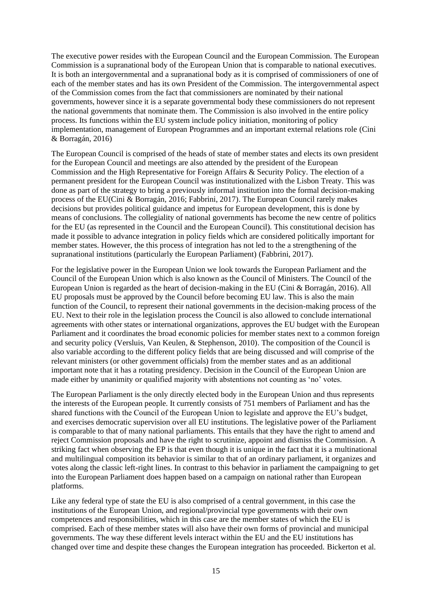The executive power resides with the European Council and the European Commission. The European Commission is a supranational body of the European Union that is comparable to national executives. It is both an intergovernmental and a supranational body as it is comprised of commissioners of one of each of the member states and has its own President of the Commission. The intergovernmental aspect of the Commission comes from the fact that commissioners are nominated by their national governments, however since it is a separate governmental body these commissioners do not represent the national governments that nominate them. The Commission is also involved in the entire policy process. Its functions within the EU system include policy initiation, monitoring of policy implementation, management of European Programmes and an important external relations role (Cini & Borragán, 2016)

The European Council is comprised of the heads of state of member states and elects its own president for the European Council and meetings are also attended by the president of the European Commission and the High Representative for Foreign Affairs & Security Policy. The election of a permanent president for the European Council was institutionalized with the Lisbon Treaty. This was done as part of the strategy to bring a previously informal institution into the formal decision-making process of the EU(Cini & Borragán, 2016; Fabbrini, 2017). The European Council rarely makes decisions but provides political guidance and impetus for European development, this is done by means of conclusions. The collegiality of national governments has become the new centre of politics for the EU (as represented in the Council and the European Council). This constitutional decision has made it possible to advance integration in policy fields which are considered politically important for member states. However, the this process of integration has not led to the a strengthening of the supranational institutions (particularly the European Parliament) (Fabbrini, 2017).

For the legislative power in the European Union we look towards the European Parliament and the Council of the European Union which is also known as the Council of Ministers. The Council of the European Union is regarded as the heart of decision-making in the EU (Cini & Borragán, 2016). All EU proposals must be approved by the Council before becoming EU law. This is also the main function of the Council, to represent their national governments in the decision-making process of the EU. Next to their role in the legislation process the Council is also allowed to conclude international agreements with other states or international organizations, approves the EU budget with the European Parliament and it coordinates the broad economic policies for member states next to a common foreign and security policy (Versluis, Van Keulen, & Stephenson, 2010). The composition of the Council is also variable according to the different policy fields that are being discussed and will comprise of the relevant ministers (or other government officials) from the member states and as an additional important note that it has a rotating presidency. Decision in the Council of the European Union are made either by unanimity or qualified majority with abstentions not counting as 'no' votes.

The European Parliament is the only directly elected body in the European Union and thus represents the interests of the European people. It currently consists of 751 members of Parliament and has the shared functions with the Council of the European Union to legislate and approve the EU's budget, and exercises democratic supervision over all EU institutions. The legislative power of the Parliament is comparable to that of many national parliaments. This entails that they have the right to amend and reject Commission proposals and have the right to scrutinize, appoint and dismiss the Commission. A striking fact when observing the EP is that even though it is unique in the fact that it is a multinational and multilingual composition its behavior is similar to that of an ordinary parliament, it organizes and votes along the classic left-right lines. In contrast to this behavior in parliament the campaigning to get into the European Parliament does happen based on a campaign on national rather than European platforms.

Like any federal type of state the EU is also comprised of a central government, in this case the institutions of the European Union, and regional/provincial type governments with their own competences and responsibilities, which in this case are the member states of which the EU is comprised. Each of these member states will also have their own forms of provincial and municipal governments. The way these different levels interact within the EU and the EU institutions has changed over time and despite these changes the European integration has proceeded. Bickerton et al.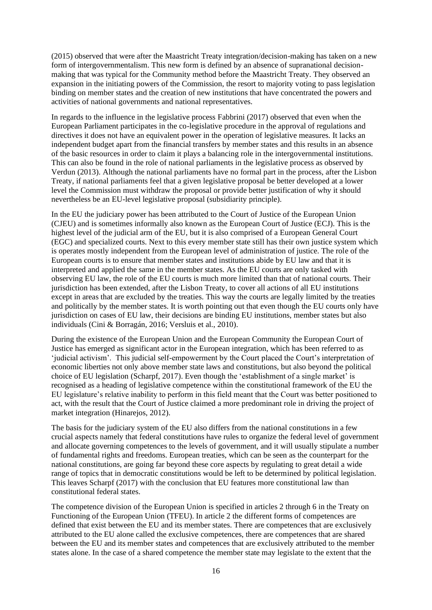(2015) observed that were after the Maastricht Treaty integration/decision-making has taken on a new form of intergovernmentalism. This new form is defined by an absence of supranational decisionmaking that was typical for the Community method before the Maastricht Treaty. They observed an expansion in the initiating powers of the Commission, the resort to majority voting to pass legislation binding on member states and the creation of new institutions that have concentrated the powers and activities of national governments and national representatives.

In regards to the influence in the legislative process Fabbrini (2017) observed that even when the European Parliament participates in the co-legislative procedure in the approval of regulations and directives it does not have an equivalent power in the operation of legislative measures. It lacks an independent budget apart from the financial transfers by member states and this results in an absence of the basic resources in order to claim it plays a balancing role in the intergovernmental institutions. This can also be found in the role of national parliaments in the legislative process as observed by Verdun (2013). Although the national parliaments have no formal part in the process, after the Lisbon Treaty, if national parliaments feel that a given legislative proposal be better developed at a lower level the Commission must withdraw the proposal or provide better justification of why it should nevertheless be an EU-level legislative proposal (subsidiarity principle).

In the EU the judiciary power has been attributed to the Court of Justice of the European Union (CJEU) and is sometimes informally also known as the European Court of Justice (ECJ). This is the highest level of the judicial arm of the EU, but it is also comprised of a European General Court (EGC) and specialized courts. Next to this every member state still has their own justice system which is operates mostly independent from the European level of administration of justice. The role of the European courts is to ensure that member states and institutions abide by EU law and that it is interpreted and applied the same in the member states. As the EU courts are only tasked with observing EU law, the role of the EU courts is much more limited than that of national courts. Their jurisdiction has been extended, after the Lisbon Treaty, to cover all actions of all EU institutions except in areas that are excluded by the treaties. This way the courts are legally limited by the treaties and politically by the member states. It is worth pointing out that even though the EU courts only have jurisdiction on cases of EU law, their decisions are binding EU institutions, member states but also individuals (Cini & Borragán, 2016; Versluis et al., 2010).

During the existence of the European Union and the European Community the European Court of Justice has emerged as significant actor in the European integration, which has been referred to as 'judicial activism'. This judicial self-empowerment by the Court placed the Court's interpretation of economic liberties not only above member state laws and constitutions, but also beyond the political choice of EU legislation (Scharpf, 2017). Even though the 'establishment of a single market' is recognised as a heading of legislative competence within the constitutional framework of the EU the EU legislature's relative inability to perform in this field meant that the Court was better positioned to act, with the result that the Court of Justice claimed a more predominant role in driving the project of market integration (Hinarejos, 2012).

The basis for the judiciary system of the EU also differs from the national constitutions in a few crucial aspects namely that federal constitutions have rules to organize the federal level of government and allocate governing competences to the levels of government, and it will usually stipulate a number of fundamental rights and freedoms. European treaties, which can be seen as the counterpart for the national constitutions, are going far beyond these core aspects by regulating to great detail a wide range of topics that in democratic constitutions would be left to be determined by political legislation. This leaves Scharpf (2017) with the conclusion that EU features more constitutional law than constitutional federal states.

The competence division of the European Union is specified in articles 2 through 6 in the Treaty on Functioning of the European Union (TFEU). In article 2 the different forms of competences are defined that exist between the EU and its member states. There are competences that are exclusively attributed to the EU alone called the exclusive competences, there are competences that are shared between the EU and its member states and competences that are exclusively attributed to the member states alone. In the case of a shared competence the member state may legislate to the extent that the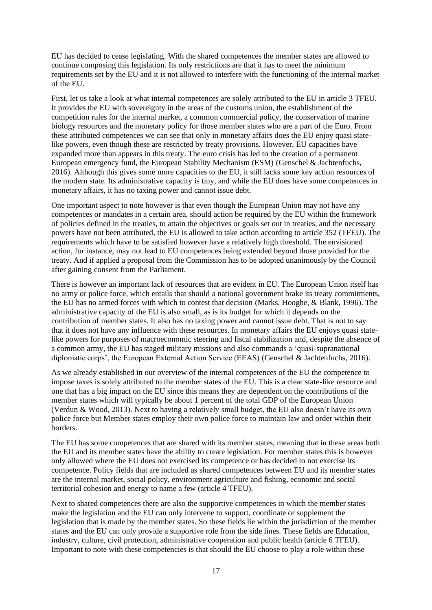EU has decided to cease legislating. With the shared competences the member states are allowed to continue composing this legislation. Its only restrictions are that it has to meet the minimum requirements set by the EU and it is not allowed to interfere with the functioning of the internal market of the EU.

First, let us take a look at what internal competences are solely attributed to the EU in article 3 TFEU. It provides the EU with sovereignty in the areas of the customs union, the establishment of the competition rules for the internal market, a common commercial policy, the conservation of marine biology resources and the monetary policy for those member states who are a part of the Euro. From these attributed competences we can see that only in monetary affairs does the EU enjoy quasi statelike powers, even though these are restricted by treaty provisions. However, EU capacities have expanded more than appears in this treaty. The euro crisis has led to the creation of a permanent European emergency fund, the European Stability Mechanism (ESM) (Genschel & Jachtenfuchs, 2016). Although this gives some more capacities to the EU, it still lacks some key action resources of the modern state. Its administrative capacity is tiny, and while the EU does have some competences in monetary affairs, it has no taxing power and cannot issue debt.

One important aspect to note however is that even though the European Union may not have any competences or mandates in a certain area, should action be required by the EU within the framework of policies defined in the treaties, to attain the objectives or goals set out in treaties, and the necessary powers have not been attributed, the EU is allowed to take action according to article 352 (TFEU). The requirements which have to be satisfied however have a relatively high threshold. The envisioned action, for instance, may not lead to EU competences being extended beyond those provided for the treaty. And if applied a proposal from the Commission has to be adopted unanimously by the Council after gaining consent from the Parliament.

There is however an important lack of resources that are evident in EU. The European Union itself has no army or police force, which entails that should a national government brake its treaty commitments, the EU has no armed forces with which to contest that decision (Marks, Hooghe, & Blank, 1996). The administrative capacity of the EU is also small, as is its budget for which it depends on the contribution of member states. It also has no taxing power and cannot issue debt. That is not to say that it does not have any influence with these resources. In monetary affairs the EU enjoys quasi statelike powers for purposes of macroeconomic steering and fiscal stabilization and, despite the absence of a common army, the EU has staged military missions and also commands a 'quasi-supranational diplomatic corps', the European External Action Service (EEAS) (Genschel & Jachtenfuchs, 2016).

As we already established in our overview of the internal competences of the EU the competence to impose taxes is solely attributed to the member states of the EU. This is a clear state-like resource and one that has a big impact on the EU since this means they are dependent on the contributions of the member states which will typically be about 1 percent of the total GDP of the European Union (Verdun & Wood, 2013). Next to having a relatively small budget, the EU also doesn't have its own police force but Member states employ their own police force to maintain law and order within their borders.

The EU has some competences that are shared with its member states, meaning that in these areas both the EU and its member states have the ability to create legislation. For member states this is however only allowed where the EU does not exercised its competence or has decided to not exercise its competence. Policy fields that are included as shared competences between EU and its member states are the internal market, social policy, environment agriculture and fishing, economic and social territorial cohesion and energy to name a few (article 4 TFEU).

Next to shared competences there are also the supportive competences in which the member states make the legislation and the EU can only intervene to support, coordinate or supplement the legislation that is made by the member states. So these fields lie within the jurisdiction of the member states and the EU can only provide a supportive role from the side lines. These fields are Education, industry, culture, civil protection, administrative cooperation and public health (article 6 TFEU). Important to note with these competencies is that should the EU choose to play a role within these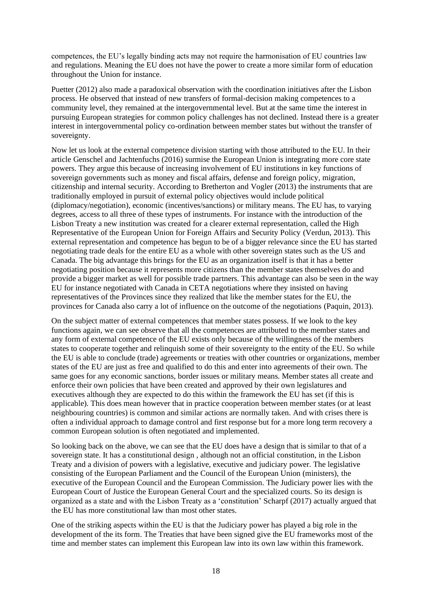competences, the EU's legally binding acts may not require the harmonisation of EU countries law and regulations. Meaning the EU does not have the power to create a more similar form of education throughout the Union for instance.

Puetter (2012) also made a paradoxical observation with the coordination initiatives after the Lisbon process. He observed that instead of new transfers of formal-decision making competences to a community level, they remained at the intergovernmental level. But at the same time the interest in pursuing European strategies for common policy challenges has not declined. Instead there is a greater interest in intergovernmental policy co-ordination between member states but without the transfer of sovereignty.

Now let us look at the external competence division starting with those attributed to the EU. In their article Genschel and Jachtenfuchs (2016) surmise the European Union is integrating more core state powers. They argue this because of increasing involvement of EU institutions in key functions of sovereign governments such as money and fiscal affairs, defense and foreign policy, migration, citizenship and internal security. According to Bretherton and Vogler (2013) the instruments that are traditionally employed in pursuit of external policy objectives would include political (diplomacy/negotiation), economic (incentives/sanctions) or military means. The EU has, to varying degrees, access to all three of these types of instruments. For instance with the introduction of the Lisbon Treaty a new institution was created for a clearer external representation, called the High Representative of the European Union for Foreign Affairs and Security Policy (Verdun, 2013). This external representation and competence has begun to be of a bigger relevance since the EU has started negotiating trade deals for the entire EU as a whole with other sovereign states such as the US and Canada. The big advantage this brings for the EU as an organization itself is that it has a better negotiating position because it represents more citizens than the member states themselves do and provide a bigger market as well for possible trade partners. This advantage can also be seen in the way EU for instance negotiated with Canada in CETA negotiations where they insisted on having representatives of the Provinces since they realized that like the member states for the EU, the provinces for Canada also carry a lot of influence on the outcome of the negotiations (Paquin, 2013).

On the subject matter of external competences that member states possess. If we look to the key functions again, we can see observe that all the competences are attributed to the member states and any form of external competence of the EU exists only because of the willingness of the members states to cooperate together and relinquish some of their sovereignty to the entity of the EU. So while the EU is able to conclude (trade) agreements or treaties with other countries or organizations, member states of the EU are just as free and qualified to do this and enter into agreements of their own. The same goes for any economic sanctions, border issues or military means. Member states all create and enforce their own policies that have been created and approved by their own legislatures and executives although they are expected to do this within the framework the EU has set (if this is applicable). This does mean however that in practice cooperation between member states (or at least neighbouring countries) is common and similar actions are normally taken. And with crises there is often a individual approach to damage control and first response but for a more long term recovery a common European solution is often negotiated and implemented.

So looking back on the above, we can see that the EU does have a design that is similar to that of a sovereign state. It has a constitutional design , although not an official constitution, in the Lisbon Treaty and a division of powers with a legislative, executive and judiciary power. The legislative consisting of the European Parliament and the Council of the European Union (ministers), the executive of the European Council and the European Commission. The Judiciary power lies with the European Court of Justice the European General Court and the specialized courts. So its design is organized as a state and with the Lisbon Treaty as a 'constitution' Scharpf (2017) actually argued that the EU has more constitutional law than most other states.

One of the striking aspects within the EU is that the Judiciary power has played a big role in the development of the its form. The Treaties that have been signed give the EU frameworks most of the time and member states can implement this European law into its own law within this framework.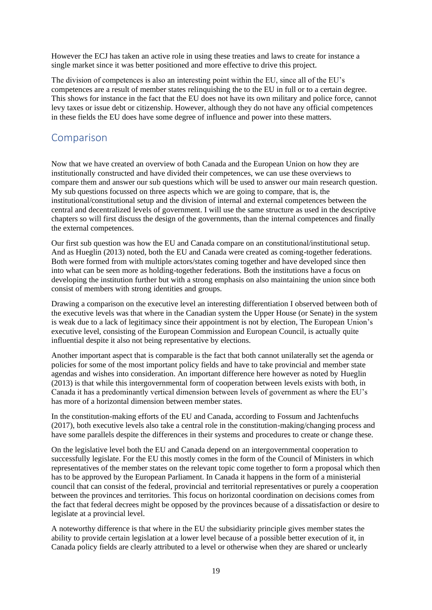However the ECJ has taken an active role in using these treaties and laws to create for instance a single market since it was better positioned and more effective to drive this project.

The division of competences is also an interesting point within the EU, since all of the EU's competences are a result of member states relinquishing the to the EU in full or to a certain degree. This shows for instance in the fact that the EU does not have its own military and police force, cannot levy taxes or issue debt or citizenship. However, although they do not have any official competences in these fields the EU does have some degree of influence and power into these matters.

### Comparison

Now that we have created an overview of both Canada and the European Union on how they are institutionally constructed and have divided their competences, we can use these overviews to compare them and answer our sub questions which will be used to answer our main research question. My sub questions focussed on three aspects which we are going to compare, that is, the institutional/constitutional setup and the division of internal and external competences between the central and decentralized levels of government. I will use the same structure as used in the descriptive chapters so will first discuss the design of the governments, than the internal competences and finally the external competences.

Our first sub question was how the EU and Canada compare on an constitutional/institutional setup. And as Hueglin (2013) noted, both the EU and Canada were created as coming-together federations. Both were formed from with multiple actors/states coming together and have developed since then into what can be seen more as holding-together federations. Both the institutions have a focus on developing the institution further but with a strong emphasis on also maintaining the union since both consist of members with strong identities and groups.

Drawing a comparison on the executive level an interesting differentiation I observed between both of the executive levels was that where in the Canadian system the Upper House (or Senate) in the system is weak due to a lack of legitimacy since their appointment is not by election, The European Union's executive level, consisting of the European Commission and European Council, is actually quite influential despite it also not being representative by elections.

Another important aspect that is comparable is the fact that both cannot unilaterally set the agenda or policies for some of the most important policy fields and have to take provincial and member state agendas and wishes into consideration. An important difference here however as noted by Hueglin (2013) is that while this intergovernmental form of cooperation between levels exists with both, in Canada it has a predominantly vertical dimension between levels of government as where the EU's has more of a horizontal dimension between member states.

In the constitution-making efforts of the EU and Canada, according to Fossum and Jachtenfuchs (2017), both executive levels also take a central role in the constitution-making/changing process and have some parallels despite the differences in their systems and procedures to create or change these.

On the legislative level both the EU and Canada depend on an intergovernmental cooperation to successfully legislate. For the EU this mostly comes in the form of the Council of Ministers in which representatives of the member states on the relevant topic come together to form a proposal which then has to be approved by the European Parliament. In Canada it happens in the form of a ministerial council that can consist of the federal, provincial and territorial representatives or purely a cooperation between the provinces and territories. This focus on horizontal coordination on decisions comes from the fact that federal decrees might be opposed by the provinces because of a dissatisfaction or desire to legislate at a provincial level.

A noteworthy difference is that where in the EU the subsidiarity principle gives member states the ability to provide certain legislation at a lower level because of a possible better execution of it, in Canada policy fields are clearly attributed to a level or otherwise when they are shared or unclearly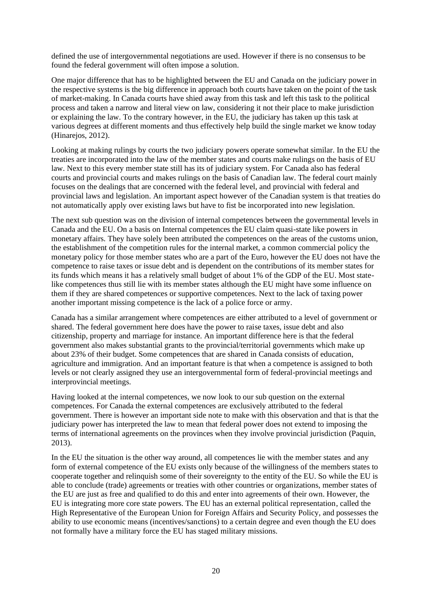defined the use of intergovernmental negotiations are used. However if there is no consensus to be found the federal government will often impose a solution.

One major difference that has to be highlighted between the EU and Canada on the judiciary power in the respective systems is the big difference in approach both courts have taken on the point of the task of market-making. In Canada courts have shied away from this task and left this task to the political process and taken a narrow and literal view on law, considering it not their place to make jurisdiction or explaining the law. To the contrary however, in the EU, the judiciary has taken up this task at various degrees at different moments and thus effectively help build the single market we know today (Hinarejos, 2012).

Looking at making rulings by courts the two judiciary powers operate somewhat similar. In the EU the treaties are incorporated into the law of the member states and courts make rulings on the basis of EU law. Next to this every member state still has its of judiciary system. For Canada also has federal courts and provincial courts and makes rulings on the basis of Canadian law. The federal court mainly focuses on the dealings that are concerned with the federal level, and provincial with federal and provincial laws and legislation. An important aspect however of the Canadian system is that treaties do not automatically apply over existing laws but have to fist be incorporated into new legislation.

The next sub question was on the division of internal competences between the governmental levels in Canada and the EU. On a basis on Internal competences the EU claim quasi-state like powers in monetary affairs. They have solely been attributed the competences on the areas of the customs union, the establishment of the competition rules for the internal market, a common commercial policy the monetary policy for those member states who are a part of the Euro, however the EU does not have the competence to raise taxes or issue debt and is dependent on the contributions of its member states for its funds which means it has a relatively small budget of about 1% of the GDP of the EU. Most statelike competences thus still lie with its member states although the EU might have some influence on them if they are shared competences or supportive competences. Next to the lack of taxing power another important missing competence is the lack of a police force or army.

Canada has a similar arrangement where competences are either attributed to a level of government or shared. The federal government here does have the power to raise taxes, issue debt and also citizenship, property and marriage for instance. An important difference here is that the federal government also makes substantial grants to the provincial/territorial governments which make up about 23% of their budget. Some competences that are shared in Canada consists of education, agriculture and immigration. And an important feature is that when a competence is assigned to both levels or not clearly assigned they use an intergovernmental form of federal-provincial meetings and interprovincial meetings.

Having looked at the internal competences, we now look to our sub question on the external competences. For Canada the external competences are exclusively attributed to the federal government. There is however an important side note to make with this observation and that is that the judiciary power has interpreted the law to mean that federal power does not extend to imposing the terms of international agreements on the provinces when they involve provincial jurisdiction (Paquin, 2013).

In the EU the situation is the other way around, all competences lie with the member states and any form of external competence of the EU exists only because of the willingness of the members states to cooperate together and relinquish some of their sovereignty to the entity of the EU. So while the EU is able to conclude (trade) agreements or treaties with other countries or organizations, member states of the EU are just as free and qualified to do this and enter into agreements of their own. However, the EU is integrating more core state powers. The EU has an external political representation, called the High Representative of the European Union for Foreign Affairs and Security Policy, and possesses the ability to use economic means (incentives/sanctions) to a certain degree and even though the EU does not formally have a military force the EU has staged military missions.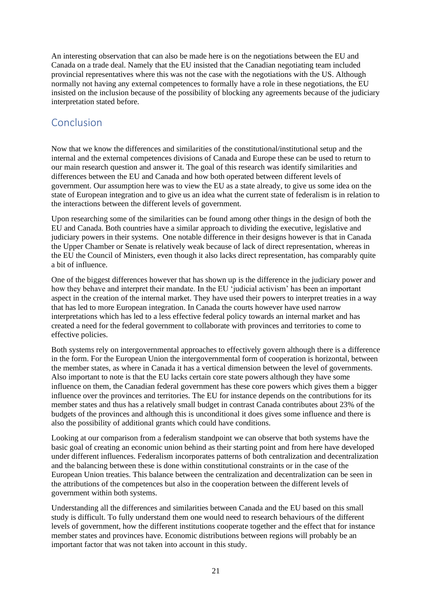An interesting observation that can also be made here is on the negotiations between the EU and Canada on a trade deal. Namely that the EU insisted that the Canadian negotiating team included provincial representatives where this was not the case with the negotiations with the US. Although normally not having any external competences to formally have a role in these negotiations, the EU insisted on the inclusion because of the possibility of blocking any agreements because of the judiciary interpretation stated before.

# Conclusion

Now that we know the differences and similarities of the constitutional/institutional setup and the internal and the external competences divisions of Canada and Europe these can be used to return to our main research question and answer it. The goal of this research was identify similarities and differences between the EU and Canada and how both operated between different levels of government. Our assumption here was to view the EU as a state already, to give us some idea on the state of European integration and to give us an idea what the current state of federalism is in relation to the interactions between the different levels of government.

Upon researching some of the similarities can be found among other things in the design of both the EU and Canada. Both countries have a similar approach to dividing the executive, legislative and judiciary powers in their systems. One notable difference in their designs however is that in Canada the Upper Chamber or Senate is relatively weak because of lack of direct representation, whereas in the EU the Council of Ministers, even though it also lacks direct representation, has comparably quite a bit of influence.

One of the biggest differences however that has shown up is the difference in the judiciary power and how they behave and interpret their mandate. In the EU 'judicial activism' has been an important aspect in the creation of the internal market. They have used their powers to interpret treaties in a way that has led to more European integration. In Canada the courts however have used narrow interpretations which has led to a less effective federal policy towards an internal market and has created a need for the federal government to collaborate with provinces and territories to come to effective policies.

Both systems rely on intergovernmental approaches to effectively govern although there is a difference in the form. For the European Union the intergovernmental form of cooperation is horizontal, between the member states, as where in Canada it has a vertical dimension between the level of governments. Also important to note is that the EU lacks certain core state powers although they have some influence on them, the Canadian federal government has these core powers which gives them a bigger influence over the provinces and territories. The EU for instance depends on the contributions for its member states and thus has a relatively small budget in contrast Canada contributes about 23% of the budgets of the provinces and although this is unconditional it does gives some influence and there is also the possibility of additional grants which could have conditions.

Looking at our comparison from a federalism standpoint we can observe that both systems have the basic goal of creating an economic union behind as their starting point and from here have developed under different influences. Federalism incorporates patterns of both centralization and decentralization and the balancing between these is done within constitutional constraints or in the case of the European Union treaties. This balance between the centralization and decentralization can be seen in the attributions of the competences but also in the cooperation between the different levels of government within both systems.

Understanding all the differences and similarities between Canada and the EU based on this small study is difficult. To fully understand them one would need to research behaviours of the different levels of government, how the different institutions cooperate together and the effect that for instance member states and provinces have. Economic distributions between regions will probably be an important factor that was not taken into account in this study.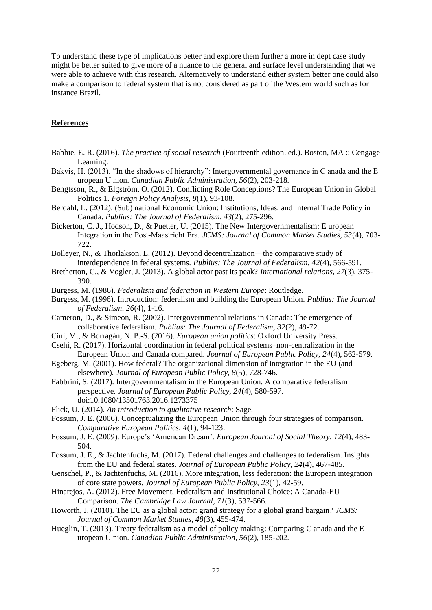To understand these type of implications better and explore them further a more in dept case study might be better suited to give more of a nuance to the general and surface level understanding that we were able to achieve with this research. Alternatively to understand either system better one could also make a comparison to federal system that is not considered as part of the Western world such as for instance Brazil.

#### **References**

- Babbie, E. R. (2016). *The practice of social research* (Fourteenth edition. ed.). Boston, MA :: Cengage Learning.
- Bakvis, H. (2013). "In the shadows of hierarchy": Intergovernmental governance in C anada and the E uropean U nion. *Canadian Public Administration, 56*(2), 203-218.
- Bengtsson, R., & Elgström, O. (2012). Conflicting Role Conceptions? The European Union in Global Politics 1. *Foreign Policy Analysis, 8*(1), 93-108.
- Berdahl, L. (2012). (Sub) national Economic Union: Institutions, Ideas, and Internal Trade Policy in Canada. *Publius: The Journal of Federalism, 43*(2), 275-296.
- Bickerton, C. J., Hodson, D., & Puetter, U. (2015). The New Intergovernmentalism: E uropean Integration in the Post‐Maastricht Era. *JCMS: Journal of Common Market Studies, 53*(4), 703- 722.
- Bolleyer, N., & Thorlakson, L. (2012). Beyond decentralization—the comparative study of interdependence in federal systems. *Publius: The Journal of Federalism, 42*(4), 566-591.
- Bretherton, C., & Vogler, J. (2013). A global actor past its peak? *International relations, 27*(3), 375- 390.
- Burgess, M. (1986). *Federalism and federation in Western Europe*: Routledge.
- Burgess, M. (1996). Introduction: federalism and building the European Union. *Publius: The Journal of Federalism, 26*(4), 1-16.
- Cameron, D., & Simeon, R. (2002). Intergovernmental relations in Canada: The emergence of collaborative federalism. *Publius: The Journal of Federalism, 32*(2), 49-72.
- Cini, M., & Borragán, N. P.-S. (2016). *European union politics*: Oxford University Press.
- Csehi, R. (2017). Horizontal coordination in federal political systems–non-centralization in the European Union and Canada compared. *Journal of European Public Policy, 24*(4), 562-579.
- Egeberg, M. (2001). How federal? The organizational dimension of integration in the EU (and elsewhere). *Journal of European Public Policy, 8*(5), 728-746.
- Fabbrini, S. (2017). Intergovernmentalism in the European Union. A comparative federalism perspective. *Journal of European Public Policy, 24*(4), 580-597. doi:10.1080/13501763.2016.1273375
- Flick, U. (2014). *An introduction to qualitative research*: Sage.
- Fossum, J. E. (2006). Conceptualizing the European Union through four strategies of comparison. *Comparative European Politics, 4*(1), 94-123.
- Fossum, J. E. (2009). Europe's 'American Dream'. *European Journal of Social Theory, 12*(4), 483- 504.
- Fossum, J. E., & Jachtenfuchs, M. (2017). Federal challenges and challenges to federalism. Insights from the EU and federal states. *Journal of European Public Policy, 24*(4), 467-485.
- Genschel, P., & Jachtenfuchs, M. (2016). More integration, less federation: the European integration of core state powers. *Journal of European Public Policy, 23*(1), 42-59.
- Hinarejos, A. (2012). Free Movement, Federalism and Institutional Choice: A Canada-EU Comparison. *The Cambridge Law Journal, 71*(3), 537-566.
- Howorth, J. (2010). The EU as a global actor: grand strategy for a global grand bargain? *JCMS: Journal of Common Market Studies, 48*(3), 455-474.
- Hueglin, T. (2013). Treaty federalism as a model of policy making: Comparing C anada and the E uropean U nion. *Canadian Public Administration, 56*(2), 185-202.